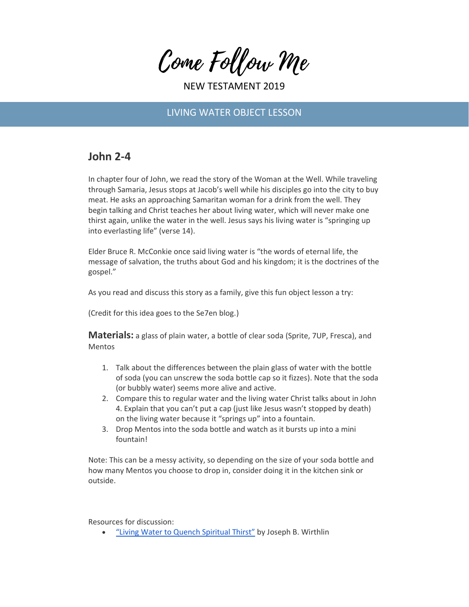Come Follow Me

NEW TESTAMENT 2019

## LIVING WATER OBJECT LESSON

## **John 2-4**

In chapter four of John, we read the story of the Woman at the Well. While traveling through Samaria, Jesus stops at Jacob's well while his disciples go into the city to buy meat. He asks an approaching Samaritan woman for a drink from the well. They begin talking and Christ teaches her about living water, which will never make one thirst again, unlike the water in the well. Jesus says his living water is "springing up into everlasting life" (verse 14).

Elder Bruce R. McConkie once said living water is "the words of eternal life, the message of salvation, the truths about God and his kingdom; it is the doctrines of the gospel."

As you read and discuss this story as a family, give this fun object lesson a try:

(Credit for this idea goes to the Se7en blog.)

**Materials:** a glass of plain water, a bottle of clear soda (Sprite, 7UP, Fresca), and Mentos

- 1. Talk about the differences between the plain glass of water with the bottle of soda (you can unscrew the soda bottle cap so it fizzes). Note that the soda (or bubbly water) seems more alive and active.
- 2. Compare this to regular water and the living water Christ talks about in John 4. Explain that you can't put a cap (just like Jesus wasn't stopped by death) on the living water because it "springs up" into a fountain.
- 3. Drop Mentos into the soda bottle and watch as it bursts up into a mini fountain!

Note: This can be a messy activity, so depending on the size of your soda bottle and how many Mentos you choose to drop in, consider doing it in the kitchen sink or outside.

Resources for discussion:

• ["Living Water to Quench Spiritual Thirst"](https://www.lds.org/general-conference/1995/04/living-water-to-quench-spiritual-thirst?lang=eng) by Joseph B. Wirthlin